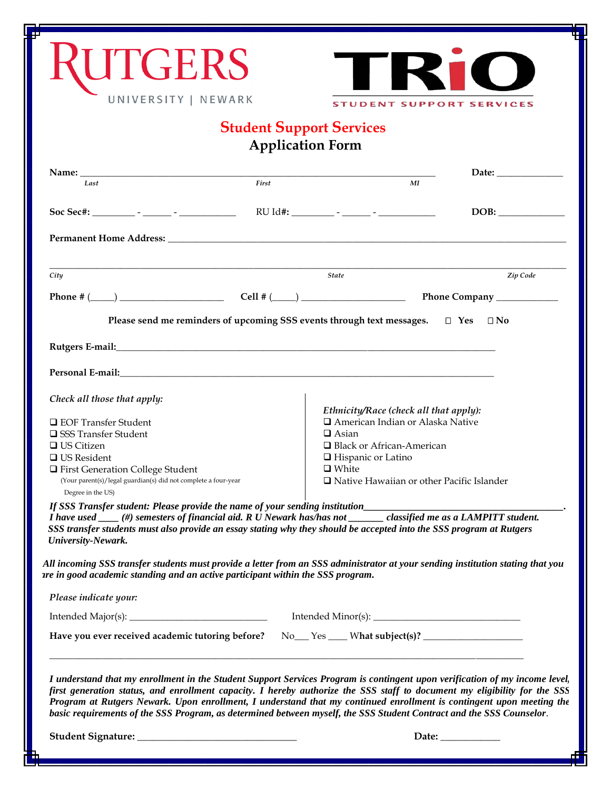| <b>UTGERS</b>                                                                                                                                                                                                                                                                                                                                                                                                                                                                                            |                         |                                           |                                                                              |
|----------------------------------------------------------------------------------------------------------------------------------------------------------------------------------------------------------------------------------------------------------------------------------------------------------------------------------------------------------------------------------------------------------------------------------------------------------------------------------------------------------|-------------------------|-------------------------------------------|------------------------------------------------------------------------------|
| UNIVERSITY   NEWARK                                                                                                                                                                                                                                                                                                                                                                                                                                                                                      |                         |                                           |                                                                              |
|                                                                                                                                                                                                                                                                                                                                                                                                                                                                                                          |                         |                                           | <b>STUDENT SUPPORT SERVICES</b>                                              |
|                                                                                                                                                                                                                                                                                                                                                                                                                                                                                                          | <b>Application Form</b> | <b>Student Support Services</b>           |                                                                              |
|                                                                                                                                                                                                                                                                                                                                                                                                                                                                                                          |                         |                                           |                                                                              |
| Last                                                                                                                                                                                                                                                                                                                                                                                                                                                                                                     | First                   |                                           | МI                                                                           |
|                                                                                                                                                                                                                                                                                                                                                                                                                                                                                                          |                         |                                           | DOB:                                                                         |
|                                                                                                                                                                                                                                                                                                                                                                                                                                                                                                          |                         |                                           |                                                                              |
|                                                                                                                                                                                                                                                                                                                                                                                                                                                                                                          |                         |                                           |                                                                              |
| City                                                                                                                                                                                                                                                                                                                                                                                                                                                                                                     |                         | <b>State</b>                              | Zip Code                                                                     |
|                                                                                                                                                                                                                                                                                                                                                                                                                                                                                                          |                         |                                           |                                                                              |
| Please send me reminders of upcoming SSS events through text messages. $\square$ Yes $\square$ No                                                                                                                                                                                                                                                                                                                                                                                                        |                         |                                           |                                                                              |
|                                                                                                                                                                                                                                                                                                                                                                                                                                                                                                          |                         |                                           |                                                                              |
| Personal E-mail: North and Second Second Second Second Second Second Second Second Second Second Second Second Second Second Second Second Second Second Second Second Second Second Second Second Second Second Second Second                                                                                                                                                                                                                                                                           |                         |                                           |                                                                              |
| Check all those that apply:                                                                                                                                                                                                                                                                                                                                                                                                                                                                              |                         |                                           |                                                                              |
| □ EOF Transfer Student                                                                                                                                                                                                                                                                                                                                                                                                                                                                                   |                         |                                           | Ethnicity/Race (check all that apply):<br>□ American Indian or Alaska Native |
| □ SSS Transfer Student                                                                                                                                                                                                                                                                                                                                                                                                                                                                                   |                         | $\Box$ Asian                              |                                                                              |
| $\Box$ US Citizen                                                                                                                                                                                                                                                                                                                                                                                                                                                                                        |                         | □ Black or African-American               |                                                                              |
| $\Box$ US Resident<br>□ First Generation College Student                                                                                                                                                                                                                                                                                                                                                                                                                                                 |                         | $\Box$ Hispanic or Latino<br>$\Box$ White |                                                                              |
| (Your parent(s)/legal guardian(s) did not complete a four-year<br>Degree in the US)                                                                                                                                                                                                                                                                                                                                                                                                                      |                         |                                           | $\Box$ Native Hawaiian or other Pacific Islander                             |
| If SSS Transfer student: Please provide the name of your sending institution__________________________________                                                                                                                                                                                                                                                                                                                                                                                           |                         |                                           |                                                                              |
| I have used ___(#) semesters of financial aid. R U Newark has/has not _____classified me as a LAMPITT student.<br>SSS transfer students must also provide an essay stating why they should be accepted into the SSS program at Rutgers<br>University-Newark.                                                                                                                                                                                                                                             |                         |                                           |                                                                              |
| All incoming SSS transfer students must provide a letter from an SSS administrator at your sending institution stating that you<br>are in good academic standing and an active participant within the SSS program.                                                                                                                                                                                                                                                                                       |                         |                                           |                                                                              |
| Please indicate your:                                                                                                                                                                                                                                                                                                                                                                                                                                                                                    |                         |                                           |                                                                              |
|                                                                                                                                                                                                                                                                                                                                                                                                                                                                                                          |                         |                                           |                                                                              |
| Have you ever received academic tutoring before?                                                                                                                                                                                                                                                                                                                                                                                                                                                         |                         |                                           |                                                                              |
| I understand that my enrollment in the Student Support Services Program is contingent upon verification of my income level,<br>first generation status, and enrollment capacity. I hereby authorize the SSS staff to document my eligibility for the SSS<br>Program at Rutgers Newark. Upon enrollment, I understand that my continued enrollment is contingent upon meeting the<br>basic requirements of the SSS Program, as determined between myself, the SSS Student Contract and the SSS Counselor. |                         |                                           |                                                                              |
|                                                                                                                                                                                                                                                                                                                                                                                                                                                                                                          |                         |                                           | Date: $\_\_$                                                                 |

며